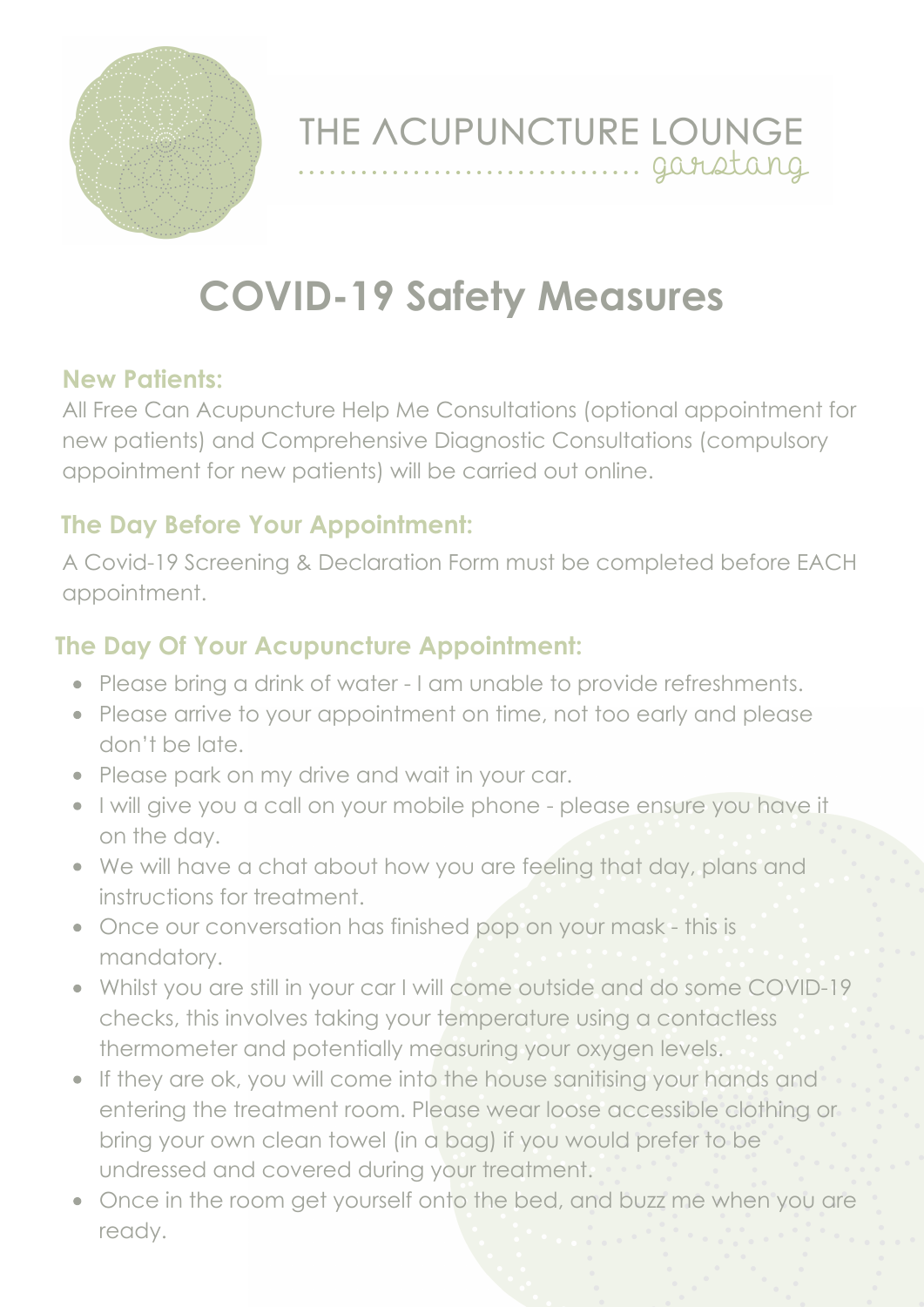

THE ACUPUNCTURE LOUNGE .... garstang

# **COVID-19 Safety Measures**

#### **New Patients:**

All Free Can Acupuncture Help Me Consultations (optional appointment for new patients) and Comprehensive Diagnostic Consultations (compulsory appointment for new patients) will be carried out online.

#### **The Day Before Your Appointment:**

A Covid-19 Screening & Declaration Form must be completed before EACH appointment.

## **The Day Of Your Acupuncture Appointment:**

- Please bring a drink of water I am unable to provide refreshments.
- Please arrive to your appointment on time, not too early and please don't be late.
- Please park on my drive and wait in your car.
- . I will give you a call on your mobile phone please ensure you have it on the day.
- We will have a chat about how you are feeling that day, plans and instructions for treatment.
- Once our conversation has finished pop on your mask this is mandatory.
- Whilst you are still in your car I will come outside and do some COVID-19 checks, this involves taking your temperature using a contactless thermometer and potentially measuring your oxygen levels.
- If they are ok, you will come into the house sanitising your hands and entering the treatment room. Please wear loose accessible clothing or bring your own clean towel (in a bag) if you would prefer to be undressed and covered during your treatment.
- Once in the room get yourself onto the bed, and buzz me when you are ready.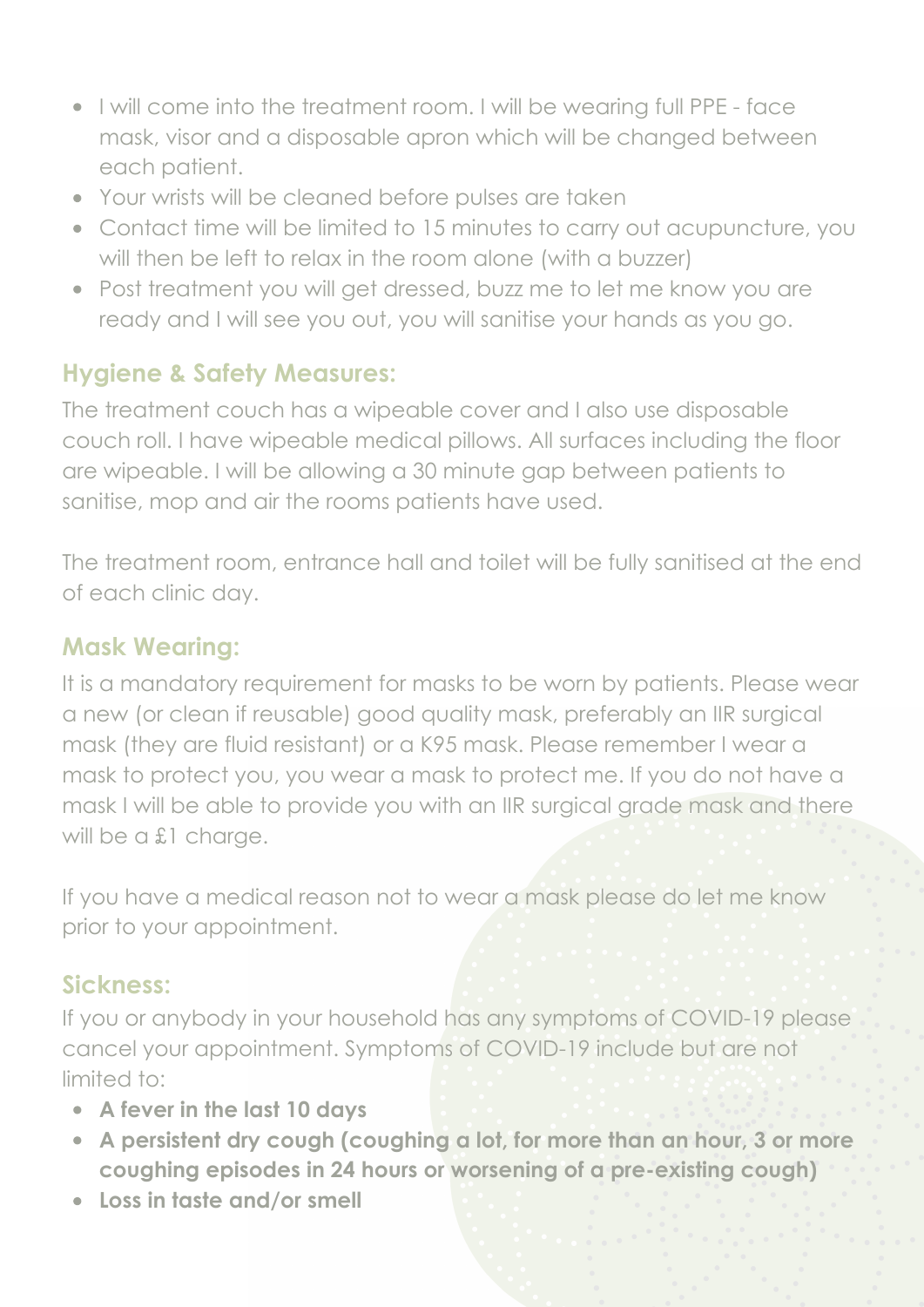- I will come into the treatment room. I will be wearing full PPE face mask, visor and a disposable apron which will be changed between each patient.
- Your wrists will be cleaned before pulses are taken
- Contact time will be limited to 15 minutes to carry out acupuncture, you will then be left to relax in the room alone (with a buzzer)
- Post treatment you will get dressed, buzz me to let me know you are ready and I will see you out, you will sanitise your hands as you go.

# **Hygiene & Safety Measures:**

The treatment couch has a wipeable cover and I also use disposable couch roll. I have wipeable medical pillows. All surfaces including the floor are wipeable. I will be allowing a 30 minute gap between patients to sanitise, mop and air the rooms patients have used.

The treatment room, entrance hall and toilet will be fully sanitised at the end of each clinic day.

## **Mask Wearing:**

It is a mandatory requirement for masks to be worn by patients. Please wear a new (or clean if reusable) good quality mask, preferably an IIR surgical mask (they are fluid resistant) or a K95 mask. Please remember I wear a mask to protect you, you wear a mask to protect me. If you do not have a mask I will be able to provide you with an IIR surgical grade mask and there will be a £1 charge.

If you have a medical reason not to wear a mask please do let me know prior to your appointment.

## **Sickness:**

If you or anybody in your household has any symptoms of COVID-19 please cancel your appointment. Symptoms of COVID-19 include but are not limited to:

- **A fever in the last 10 days**
- **A persistent dry cough (coughing a lot, for more than an hour, 3 or more coughing episodes in 24 hours or worsening of a pre-existing cough)**
- **Loss in taste and/or smell**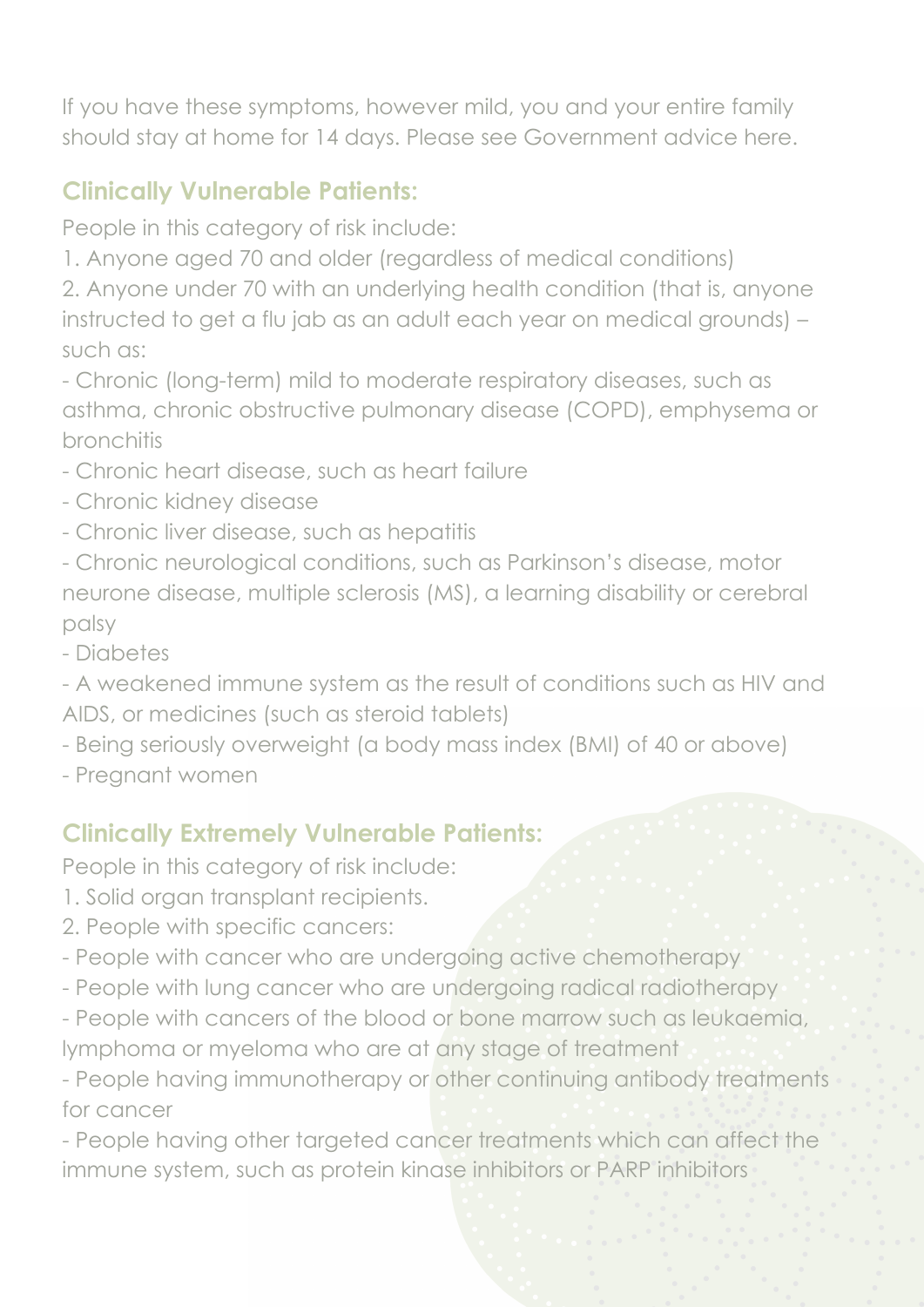If you have these symptoms, however mild, you and your entire family should stay at home for 14 days. Please see Government advice here.

# **Clinically Vulnerable Patients:**

People in this category of risk include:

1. Anyone aged 70 and older (regardless of medical conditions)

2. Anyone under 70 with an underlying health condition (that is, anyone instructed to get a flu jab as an adult each year on medical grounds) – such as:

- Chronic (long-term) mild to moderate respiratory diseases, such as asthma, chronic obstructive pulmonary disease (COPD), emphysema or bronchitis

- Chronic heart disease, such as heart failure
- Chronic kidney disease
- Chronic liver disease, such as hepatitis
- Chronic neurological conditions, such as Parkinson's disease, motor neurone disease, multiple sclerosis (MS), a learning disability or cerebral palsy
- Diabetes

- A weakened immune system as the result of conditions such as HIV and AIDS, or medicines (such as steroid tablets)

- Being seriously overweight (a body mass index (BMI) of 40 or above)
- Pregnant women

# **Clinically Extremely Vulnerable Patients:**

People in this category of risk include:

- 1. Solid organ transplant recipients.
- 2. People with specific cancers:
- People with cancer who are undergoing active chemotherapy
- People with lung cancer who are undergoing radical radiotherapy
- People with cancers of the blood or bone marrow such as leukaemia, lymphoma or myeloma who are at any stage of treatment

- People having immunotherapy or other continuing antibody treatments for cancer

- People having other targeted cancer treatments which can affect the immune system, such as protein kinase inhibitors or PARP inhibitors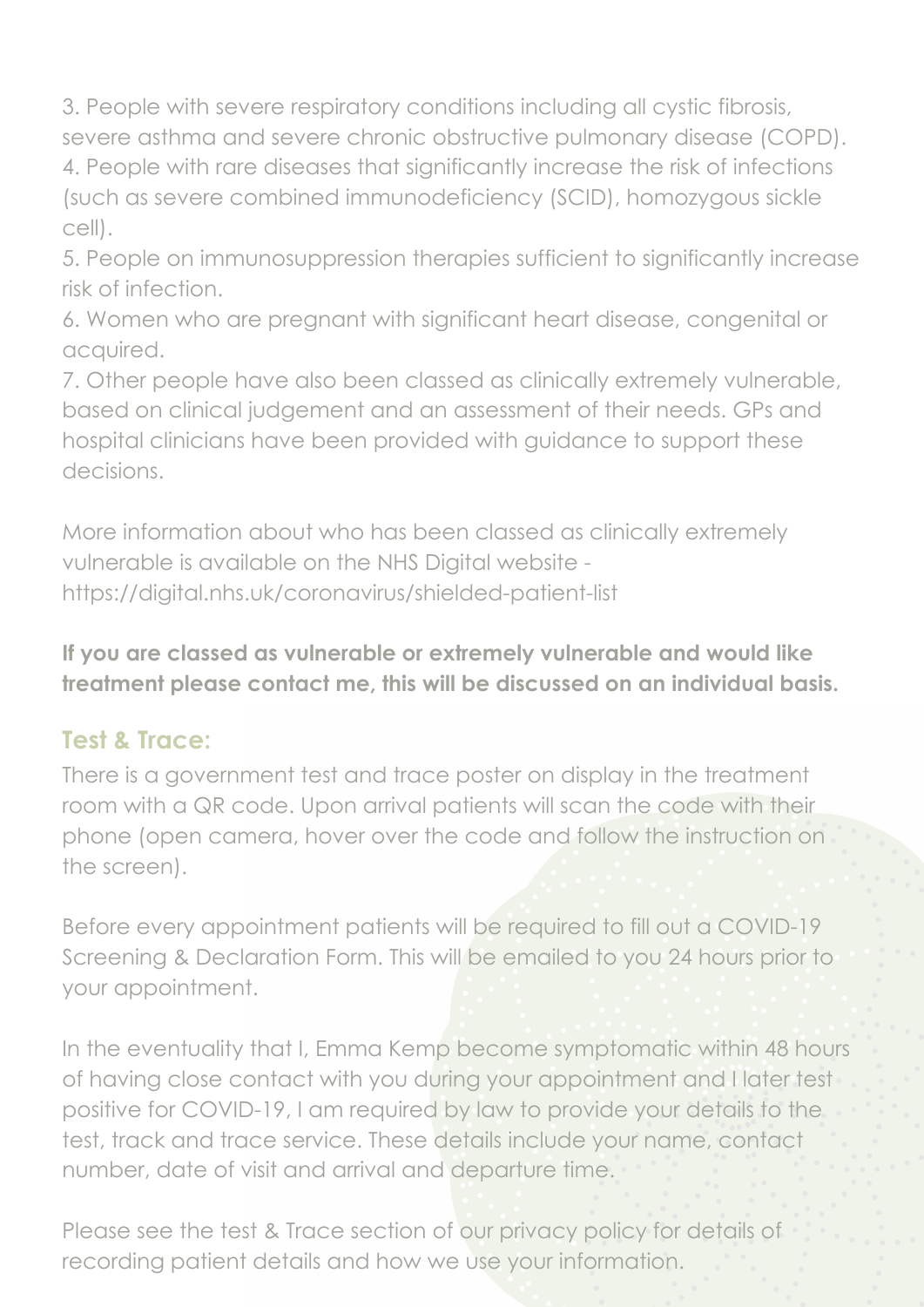3. People with severe respiratory conditions including all cystic fibrosis, severe asthma and severe chronic obstructive pulmonary disease (COPD). 4. People with rare diseases that significantly increase the risk of infections (such as severe combined immunodeficiency (SCID), homozygous sickle cell).

5. People on immunosuppression therapies sufficient to significantly increase risk of infection.

6. Women who are pregnant with significant heart disease, congenital or acquired.

7. Other people have also been classed as clinically extremely vulnerable, based on clinical judgement and an assessment of their needs. GPs and hospital clinicians have been provided with guidance to support these decisions.

More information about who has been classed as clinically extremely vulnerable is available on the NHS Digital website https://digital.nhs.uk/coronavirus/shielded-patient-list

**If you are classed as vulnerable or extremely vulnerable and would like treatment please contact me, this will be discussed on an individual basis.**

#### **Test & Trace:**

There is a government test and trace poster on display in the treatment room with a QR code. Upon arrival patients will scan the code with their phone (open camera, hover over the code and follow the instruction on the screen).

Before every appointment patients will be required to fill out a COVID-19 Screening & Declaration Form. This will be emailed to you 24 hours prior to your appointment.

In the eventuality that I, Emma Kemp become symptomatic within 48 hours of having close contact with you during your appointment and I later test positive for COVID-19, I am required by law to provide your details to the test, track and trace service. These details include your name, contact number, date of visit and arrival and departure time.

Please see the test & Trace section of our privacy policy for details of recording patient details and how we use your information.